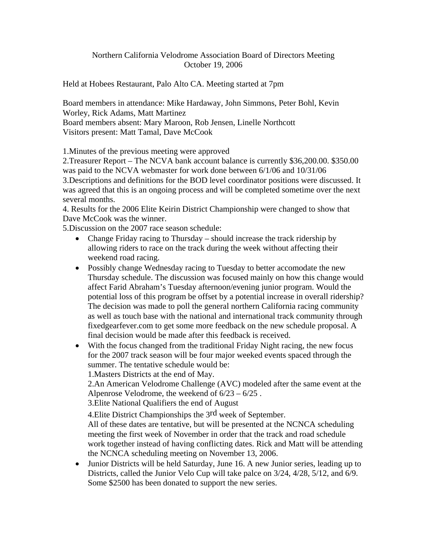## Northern California Velodrome Association Board of Directors Meeting October 19, 2006

Held at Hobees Restaurant, Palo Alto CA. Meeting started at 7pm

Board members in attendance: Mike Hardaway, John Simmons, Peter Bohl, Kevin Worley, Rick Adams, Matt Martinez

Board members absent: Mary Maroon, Rob Jensen, Linelle Northcott Visitors present: Matt Tamal, Dave McCook

1.Minutes of the previous meeting were approved

2.Treasurer Report – The NCVA bank account balance is currently \$36,200.00. \$350.00 was paid to the NCVA webmaster for work done between 6/1/06 and 10/31/06 3.Descriptions and definitions for the BOD level coordinator positions were discussed. It was agreed that this is an ongoing process and will be completed sometime over the next

several months.

4. Results for the 2006 Elite Keirin District Championship were changed to show that Dave McCook was the winner.

5.Discussion on the 2007 race season schedule:

- Change Friday racing to Thursday should increase the track ridership by allowing riders to race on the track during the week without affecting their weekend road racing.
- Possibly change Wednesday racing to Tuesday to better accomodate the new Thursday schedule. The discussion was focused mainly on how this change would affect Farid Abraham's Tuesday afternoon/evening junior program. Would the potential loss of this program be offset by a potential increase in overall ridership? The decision was made to poll the general northern California racing community as well as touch base with the national and international track community through fixedgearfever.com to get some more feedback on the new schedule proposal. A final decision would be made after this feedback is received.
- With the focus changed from the traditional Friday Night racing, the new focus for the 2007 track season will be four major weeked events spaced through the summer. The tentative schedule would be:

1.Masters Districts at the end of May.

2.An American Velodrome Challenge (AVC) modeled after the same event at the Alpenrose Velodrome, the weekend of 6/23 – 6/25 .

3.Elite National Qualifiers the end of August

4.Elite District Championships the 3rd week of September.

All of these dates are tentative, but will be presented at the NCNCA scheduling meeting the first week of November in order that the track and road schedule work together instead of having conflicting dates. Rick and Matt will be attending the NCNCA scheduling meeting on November 13, 2006.

• Junior Districts will be held Saturday, June 16. A new Junior series, leading up to Districts, called the Junior Velo Cup will take palce on 3/24, 4/28, 5/12, and 6/9. Some \$2500 has been donated to support the new series.